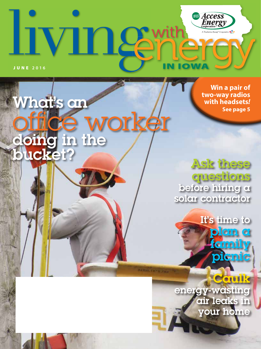

What's an

ucket<sup>.</sup>

doing in the

office worker

**Win a pair of two-way radios with headsets***!* **See page 5**

Ask these questions before hiring a solar contractor

It's time to plam a **family** picnic

energy-wasting air leaks in your home

HANHI, IN + N  $>$ an

Caulk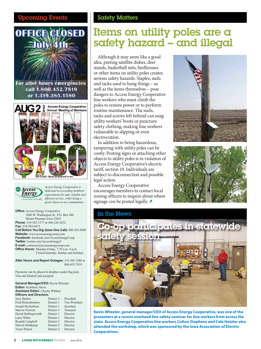

#### For after hours emergencies call 1.800.452.7819 or 1.319.385.1580





*Access Energy Cooperative is dedicated to exceeding members' expectations for safe, reliable and efficient service, while being a good citizen in our communities.*

**Office:** Access Energy Cooperative 1800 W. Washington St., P.O. Box 440 Mount Pleasant, Iowa 52641 **Phone:** 319-385-1577 or 866-242-4232 **Fax:** 319-385-6873 **Call Before You Dig (Iowa One Call):** 800-292-8989 **Website:** www.accessenergycoop.com **Facebook:** facebook.com/AccessEnergyCoop **Twitter:** twitter.com/AccessEnergyC **E-mail:** contactus@accessenergycoop.com **Office Hours:** Monday-Friday, 7:30 a.m.-4 p.m. Closed Saturday, Sunday and holidays

**After Hours and Report Outages:** 319-385-1580 or 800-452-7819

Payments can be placed in dropbox under flag pole. Visa and MasterCard accepted.

**General Manager/CEO:** Kevin Wheeler **Editor:** Kimberly Davis **Assistant Editor:** Cherity Wibben **Officers and Directors:** Jerry Barker District 2 President Fred Hickenbottom District 1 Vice President<br>Joseph Heckethorn District 1 Secretary Joseph Heckethorn Marvin Newton District 3 Treasurer<br>David Hollingsworth District 1 Director David Hollingsworth District 1 Director<br>
Larry White District 2 Director Larry White Ronald Campbell District 2 Director

#### **Coming Events Safety Matters**

## Items on utility poles are a safety hazard – and illegal

Although it may seem like a good idea, putting satellite dishes, deer stands, basketball nets, birdhouses or other items on utility poles creates serious safety hazards. Staples, nails and tacks used to hang things – as well as the items themselves – pose dangers to Access Energy Cooperative line workers who must climb the poles to restore power or to perform routine maintenance. The nails, tacks and screws left behind can snag utility workers' boots or puncture safety clothing, making line workers vulnerable to slipping or even electrocution.

In addition to being hazardous, tampering with utility poles can be costly. Posting signs or attaching other objects to utility poles is in violation of Access Energy Cooperative's electric tariff, section 19. Individuals are subject to disconnection and possible legal action.

Access Energy Cooperative encourages members to contact local zoning officers to inquire about where signage can be posted legally.







**Kevin Wheeler, general manager/CEO of Access Energy Cooperative, was one of the presenters at a recent overhead line safety seminar for line workers from across the state. Access Energy Cooperative line workers Colton Stephens and Cole Hetzler also attended the workshop, which was sponsored by the Iowa Association of Electric Cooperatives.**

Marvin Holtkamp District 3 Director Victor Pierrot District 3 Director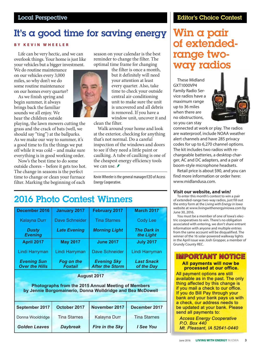## It's a good time for saving energy

#### **BY KEVIN WHEELER**

Life can be very hectic, and we can overlook things. Your home is just like your vehicles but a bigger investment.

We do routine maintenance on our vehicles every 3,000 miles, so why don't we do some routine maintenance on our homes every quarter?

As we finish spring and begin summer, it always brings back the familiar sounds we all enjoy. We hear the children outside

playing, the lawn mowers cutting the grass and the crack of bats (well, we should say "ting") at the ballparks. As we make our way to summer, it's a good time to fix the things we put off while it was cold – and make sure everything is in good working order.

Now's the best time to do some outside chores – before it gets too hot. The change in seasons is the perfect time to change or clean your furnace filter. Marking the beginning of each



season on your calendar is the best reminder to change the filter. The optimal time frame for changing

> the filter is once a month, but it definitely will need your attention at least every quarter. Also, take time to check your outside central air-conditioning unit to make sure the unit is uncovered and all debris is removed. If you have a window unit, uncover it and

clean the filter.

Walk around your home and look at the exterior, checking for anything that's not normal. Do a careful inspection of the windows and doors to see if they need a little paint or caulking. A tube of caulking is one of the cheapest energy efficiency tools we can use.  $\blacktriangleright$ 

Kevin Wheeler is the general manager/CEO of Access Energy Cooperative.

## 2016 Photo Contest Winners

| December 2016                                              | <b>January 2017</b>                 | <b>February 2017</b>                         | <b>March 2017</b>               |  |
|------------------------------------------------------------|-------------------------------------|----------------------------------------------|---------------------------------|--|
| <b>Kalayna Durr</b>                                        | <b>Dave Schneider</b>               | <b>Tina Starnes</b>                          | <b>Cody Lee</b>                 |  |
| <b>Dusty</b><br><b>Evening</b>                             | <b>Late Evening</b>                 | <b>Morning Light</b>                         | <b>The Dark in</b><br>the Light |  |
| <b>April 2017</b>                                          | <b>May 2017</b>                     | <b>June 2017</b>                             | <b>July 2017</b>                |  |
| Lindi Harryman                                             | Lindi Harryman                      | <b>Dave Schneider</b>                        | Lindi Harryman                  |  |
| <b>Evening Sun</b><br><b>Over the Hills</b>                | <b>Fog on the</b><br><b>Foxtail</b> | <b>Evening Sky</b><br><b>After the Storm</b> | <b>Last Snack</b><br>of the Day |  |
| <b>August 2017</b>                                         |                                     |                                              |                                 |  |
| <b>Photographs from the 2015 Annual Meeting of Members</b> |                                     |                                              |                                 |  |

| <u>Filolographs from the ZUTS Annual Meeting Of Members</u> |  |
|-------------------------------------------------------------|--|
| by Jennie Borgomainerio, Donna Wolldridge and Bea McDowell  |  |
|                                                             |  |
|                                                             |  |

| September 2017       | October 2017        | November 2017   | December 2017       |
|----------------------|---------------------|-----------------|---------------------|
| Donna Wooldridge     | <b>Tina Starnes</b> | Kalayna Durr    | <b>Tina Starnes</b> |
| <b>Golden Leaves</b> | <b>Daybreak</b>     | Fire in the Sky | I See You           |

#### Editor's Choice Contest

## Win a pair of extendedrange twoway radios

These Midland GXT1000VP4 Family Radio Service radios have a maximum range up to 36 miles when there are no obstructions, so you can stay



connected at work or play. The radios are waterproof, include NOAA weather alert channels and have 285 privacy codes for up to 6,270 channel options. The kit includes two radios with rechargeable batteries, a desktop charger, AC and DC adapters, and a pair of boom-style microphone headsets.

Retail price is about \$90, and you can find more information or order here: www.midlandusa.com.

#### **Visit our website, and win***!*

To enter this month's contest to win a pair of extended-range two-way radios, just fill out the entry form at the *Living with Energy in Iowa* website at www.livingwithenergyiniowa.com by June 30, 2016.

You must be a member of one of Iowa's electric cooperatives to win. There's no obligation associated with entering, we don't share entrant information with anyone and multiple entries from the same account will be disqualified. The winner of the 16 solar-powered walkway lights in the April issue was Josh Gropper, a member of Grundy County REC.

#### **IMPORTANT NOTICE** All payments will now be processed at our office.

All payment options are still available as in the past. The only thing affected by this change is if you mail a check to our office. If you do Bill Pay through your bank and your bank pays us with a check, our address needs to be updated at your bank. Please send all payments to:

**Access Energy Cooperative** P.O. Box 440 Mt. Pleasant, IA 52641-0440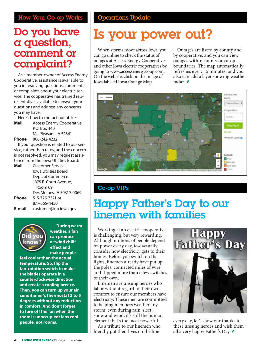## Do you have a question, comment or complaint?

As a member-owner of Access Energy Cooperative, assistance is available to you in resolving questions, comments or complaints about your electric service. The cooperative has trained representatives available to answer your questions and address any concerns you may have.

Here's how to contact our office:

| Mail | Access Energy Cooperative |  |
|------|---------------------------|--|
|      | P.O. Box 440              |  |
|      | Mt. Pleasant, IA 52641    |  |

**Phone** 866-242-4232

If your question is related to our service, rather than rates, and the concern is not resolved, you may request assistance from the Iowa Utilities Board:

| Mail   | <b>Customer Service</b>   |
|--------|---------------------------|
|        | Iowa Utilities Board      |
|        | Dept. of Commerce         |
|        | 1375 E. Court Avenue,     |
|        | Room 69                   |
|        | Des Moines, IA 50319-0069 |
| Phone  | 515-725-7321 or           |
|        | 877-565-4450              |
| E-mail | customer@iub.iowa.gov     |
|        |                           |



**During warm weather, a fan can produce a "wind chill" effect and make people** 

**feel cooler than the actual temperature. So, flip the fan-rotation switch to make the blades operate in a counterclockwise direction and create a cooling breeze. Then, you can turn up your air conditioner's thermostat 3 to 5 degrees without any reduction in comfort. And don't forget to turn off the fan when the room is unoccupied; fans cool people, not rooms.**

# Is your power out?

When storms move across Iowa, you can go online to check the status of outages at Access Energy Cooperative and other Iowa electric cooperatives by going to www.accessenergycoop.com. On the website, click on the image of Iowa labeled Iowa Outage Map.

Outages are listed by county and by cooperative, and you can view outages within county or co-op boundaries. The map automatically refreshes every 15 minutes, and you also can add a layer showing weather radar.



### Co-op VIPs

## Happy Father's Day to our linemen with families

Working at an electric cooperative is challenging, but very rewarding. Although millions of people depend on power every day, few actually consider how electricity gets to their homes. Before you switch on the lights, linemen already have put up the poles, connected miles of wire and flipped more than a few switches of their own.

Linemen are unsung heroes who labor without regard to their own comfort to ensure our members have electricity. These men are committed to helping members weather any storm; even during rain, sleet, snow and wind, it's still the human element that's the most powerful.

As a tribute to our linemen who literally put their lives on the line



every day, let's show our thanks to these unsung heroes and wish them all a very happy Father's Day.